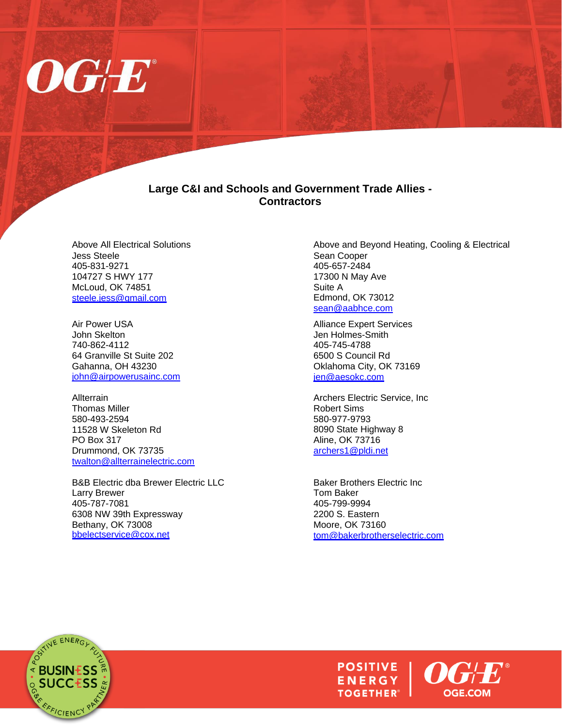

## **Large C&I and Schools and Government Trade Allies - Contractors**

Above All Electrical Solutions Jess Steele 405-831-9271 104727 S HWY 177 McLoud, OK 74851 [steele.jess@gmail.com](mailto:steele.jess@gmail.com)

Air Power USA John Skelton 740-862-4112 64 Granville St Suite 202 Gahanna, OH 43230 [john@airpowerusainc.com](mailto:john@airpowerusainc.com)

Allterrain Thomas Miller 580-493-2594 11528 W Skeleton Rd PO Box 317 Drummond, OK 73735 [twalton@allterrainelectric.com](mailto:twalton@allterrainelectric.com)

B&B Electric dba Brewer Electric LLC Larry Brewer 405-787-7081 6308 NW 39th Expressway Bethany, OK 73008 [bbelectservice@cox.net](mailto:bbelectservice@cox.net)

Above and Beyond Heating, Cooling & Electrical Sean Cooper 405-657-2484 17300 N May Ave Suite A Edmond, OK 73012 [sean@aabhce.com](mailto:sean@aabhce.com)

Alliance Expert Services Jen Holmes-Smith 405-745-4788 6500 S Council Rd Oklahoma City, OK 73169 [jen@aesokc.com](mailto:jen@aesokc.com)

Archers Electric Service, Inc Robert Sims 580-977-9793 8090 State Highway 8 Aline, OK 73716 [archers1@pldi.net](mailto:archers1@pldi.net)

Baker Brothers Electric Inc Tom Baker 405-799-9994 2200 S. Eastern Moore, OK 73160 [tom@bakerbrotherselectric.com](mailto:tom@bakerbrotherselectric.com)



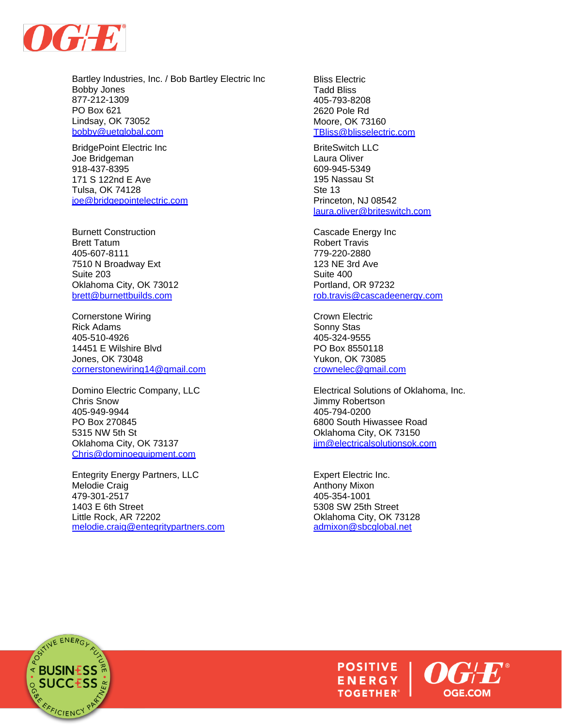

Bartley Industries, Inc. / Bob Bartley Electric Inc Bobby Jones 877-212-1309 PO Box 621 Lindsay, OK 73052 [bobby@uetglobal.com](mailto:bobby@uetglobal.com)

BridgePoint Electric Inc Joe Bridgeman 918-437-8395 171 S 122nd E Ave Tulsa, OK 74128 [joe@bridgepointelectric.com](mailto:joe@bridgepointelectric.com)

Burnett Construction Brett Tatum 405-607-8111 7510 N Broadway Ext Suite 203 Oklahoma City, OK 73012 [brett@burnettbuilds.com](mailto:brett@burnettbuilds.com)

Cornerstone Wiring Rick Adams 405-510-4926 14451 E Wilshire Blvd Jones, OK 73048 [cornerstonewiring14@gmail.com](mailto:cornerstonewiring14@gmail.com)

Domino Electric Company, LLC Chris Snow 405-949-9944 PO Box 270845 5315 NW 5th St Oklahoma City, OK 73137 [Chris@dominoequipment.com](mailto:Chris@dominoequipment.com)

Entegrity Energy Partners, LLC Melodie Craig 479-301-2517 1403 E 6th Street Little Rock, AR 72202 [melodie.craig@entegritypartners.com](mailto:melodie.craig@entegritypartners.com) Bliss Electric Tadd Bliss 405-793-8208 2620 Pole Rd Moore, OK 73160 [TBliss@blisselectric.com](mailto:TBliss@blisselectric.com)

BriteSwitch LLC Laura Oliver 609-945-5349 195 Nassau St Ste 13 Princeton, NJ 08542 [laura.oliver@briteswitch.com](mailto:laura.oliver@briteswitch.com)

Cascade Energy Inc Robert Travis 779-220-2880 123 NE 3rd Ave Suite 400 Portland, OR 97232 [rob.travis@cascadeenergy.com](mailto:rob.travis@cascadeenergy.com)

Crown Electric Sonny Stas 405-324-9555 PO Box 8550118 Yukon, OK 73085 [crownelec@gmail.com](mailto:crownelec@gmail.com)

Electrical Solutions of Oklahoma, Inc. Jimmy Robertson 405-794-0200 6800 South Hiwassee Road Oklahoma City, OK 73150 [jim@electricalsolutionsok.com](mailto:jim@electricalsolutionsok.com)

Expert Electric Inc. Anthony Mixon 405-354-1001 5308 SW 25th Street Oklahoma City, OK 73128 [admixon@sbcglobal.net](mailto:admixon@sbcglobal.net)



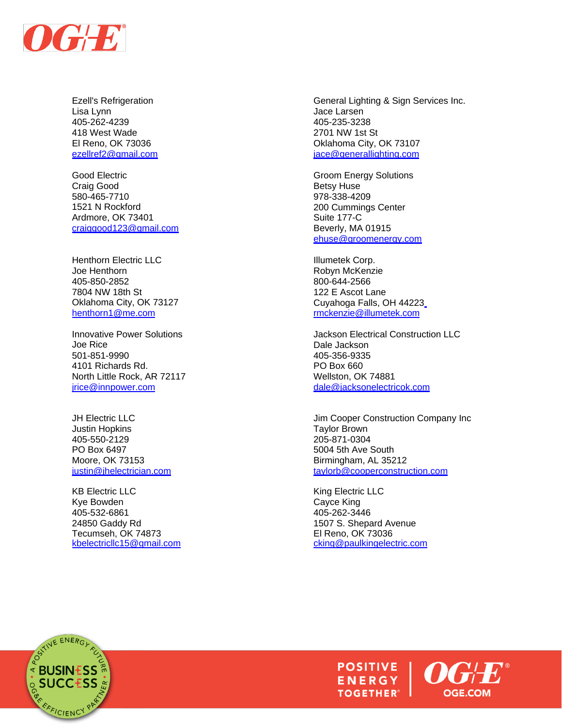

Ezell's Refrigeration Lisa Lynn 405-262-4239 418 West Wade El Reno, OK 73036 [ezellref2@gmail.com](mailto:ezellref2@gmail.com)

Good Electric Craig Good 580-465-7710 1521 N Rockford Ardmore, OK 73401 [craiggood123@gmail.com](mailto:craiggood123@gmail.com)

Henthorn Electric LLC Joe Henthorn 405-850-2852 7804 NW 18th St Oklahoma City, OK 73127 [henthorn1@me.com](mailto:henthorn1@me.com)

Innovative Power Solutions Joe Rice 501-851-9990 4101 Richards Rd. North Little Rock, AR 72117 [jrice@innpower.com](mailto:jrice@innpower.com)

JH Electric LLC Justin Hopkins 405-550-2129 PO Box 6497 Moore, OK 73153 justin@ihelectrician.com

KB Electric LLC Kye Bowden 405-532-6861 24850 Gaddy Rd Tecumseh, OK 74873 [kbelectricllc15@gmail.com](mailto:kbelectricllc15@gmail.com)

General Lighting & Sign Services Inc. Jace Larsen 405-235-3238 2701 NW 1st St Oklahoma City, OK 73107 [jace@generallighting.com](mailto:jace@generallighting.com)

Groom Energy Solutions Betsy Huse 978-338-4209 200 Cummings Center Suite 177-C Beverly, MA 01915 [ehuse@groomenergy.com](mailto:ehuse@groomenergy.com)

Illumetek Corp. Robyn McKenzie 800-644-2566 122 E Ascot Lane Cuyahoga Falls, OH 44223 [rmckenzie@illumetek.com](mailto:rmckenzie@illumetek.com)

Jackson Electrical Construction LLC Dale Jackson 405-356-9335 PO Box 660 Wellston, OK 74881 [dale@jacksonelectricok.com](mailto:dale@jacksonelectricok.com)

Jim Cooper Construction Company Inc Taylor Brown 205-871-0304 5004 5th Ave South Birmingham, AL 35212 [taylorb@cooperconstruction.com](mailto:taylorb@cooperconstruction.com)

King Electric LLC Cayce King 405-262-3446 1507 S. Shepard Avenue El Reno, OK 73036 [cking@paulkingelectric.com](mailto:cking@paulkingelectric.com)



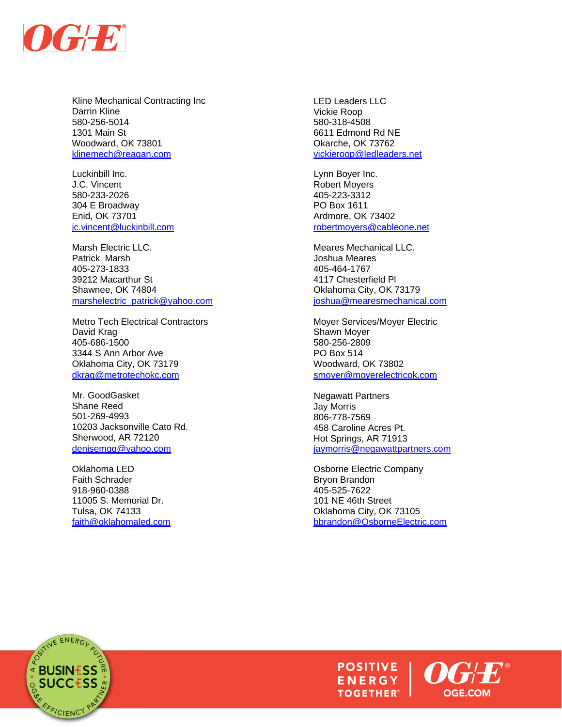

Kline Mechanical Contracting Inc Darrin Kline 580-256-5014 1301 Main St Woodward, OK 73801 [klinemech@reagan.com](mailto:klinemech@reagan.com)

Luckinbill Inc. Lynn Boyer Inc. J.C. Vincent **Robert Moyers Robert Moyers** 580-233-2026 405-223-3312 304 E Broadway PO Box 1611 Enid, OK 73701 Ardmore, OK 73402

Marsh Electric LLC. **Meares Mechanical LLC.** Meares Mechanical LLC. Patrick Marsh **Marsh Accord Patrick Marsh** Joshua Meares 405-273-1833 405-464-1767 39212 Macarthur St 4117 Chesterfield Pl Shawnee, OK 74804 **Canadian City, OK 73179** Oklahoma City, OK 73179 [marshelectric\\_patrick@yahoo.com](mailto:marshelectric_patrick@yahoo.com) [joshua@mearesmechanical.com](mailto:joshua@mearesmechanical.com)

Metro Tech Electrical Contractors Moyer Services/Moyer Electric David Krag **Shawn Moyer** Shawn Moyer 405-686-1500 580-256-2809 3344 S Ann Arbor Ave PO Box 514 Oklahoma City, OK 73179 Woodward, OK 73802 [dkrag@metrotechokc.com](mailto:dkrag@metrotechokc.com) [smoyer@moyerelectricok.com](mailto:smoyer@moyerelectricok.com)

Mr. GoodGasket Negawatt Partners Shane Reed 501-269-4993 10203 Jacksonville Cato Rd. Sherwood, AR 72120 [denisemgg@yahoo.com](mailto:denisemgg@yahoo.com)

Faith Schrader **Bryon Brandon** 918-960-0388 405-525-7622 11005 S. Memorial Dr. 101 NE 46th Street

LED Leaders LLC Vickie Roop 580-318-4508 6611 Edmond Rd NE Okarche, OK 73762 [vickieroop@ledleaders.net](mailto:vickieroop@ledleaders.net)

[robertmoyers@cableone.net](mailto:robertmoyers@cableone.net)

Jay Morris 806-778-7569 458 Caroline Acres Pt. Hot Springs, AR 71913 [jaymorris@negawattpartners.com](mailto:jaymorris@negawattpartners.com)

Oklahoma LED **Osborne Electric Company** Tulsa, OK 74133 Oklahoma City, OK 73105 [faith@oklahomaled.com](mailto:faith@oklahomaled.com) [bbrandon@OsborneElectric.com](mailto:bbrandon@OsborneElectric.com)



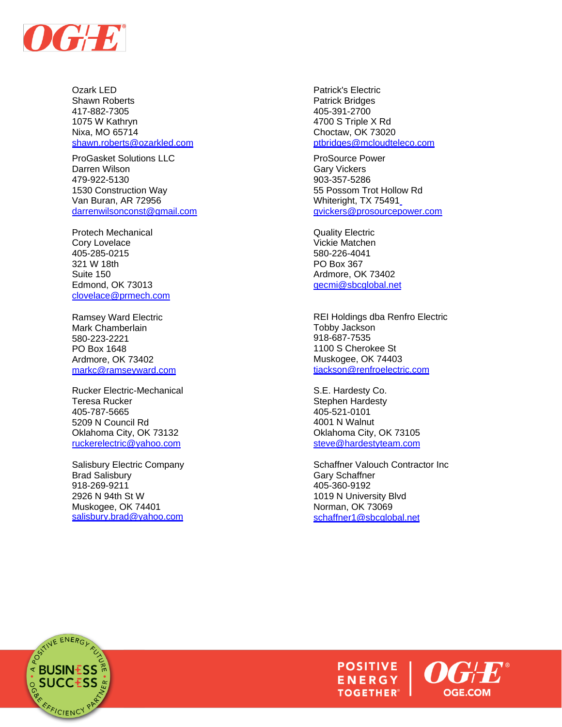

Ozark LED Shawn Roberts 417 -882 -7305 1075 W Kathryn Nixa, MO 65714 [shawn.roberts@ozarkled.com](mailto:shawn.roberts@ozarkled.com)

ProGasket Solutions LLC Darren Wilson 479 -922 -5130 1530 Construction Way Van Buran, AR 72956 [darrenwilsonconst@gmail.com](mailto:darrenwilsonconst@gmail.com)

Protech Mechanical Cory Lovelace 405 -285 -0215 321 W 18th Suite 150 Edmond, OK 73013 [clovelace@prmech.com](mailto:clovelace@prmech.com)

Ramsey Ward Electric Mark Chamberlain 580 -223 -2221 PO Box 1648 Ardmore, OK 73402 [markc@ramseyward.com](mailto:markc@ramseyward.com)

Rucker Electric -Mechanical Teresa Rucker 405 -787 -5665 5209 N Council Rd Oklahoma City, OK 73132 [ruckerelectric@yahoo.com](mailto:ruckerelectric@yahoo.com)

Salisbury Electric Company Brad Salisbury 918 -269 -9211 2926 N 94th St W Muskogee, OK 74401 [salisbury.brad@yahoo.com](mailto:salisbury.brad@yahoo.com)

Patrick's Electric Patrick Bridges 405 -391 -2700 4700 S Triple X Rd Choctaw, OK 73020 [ptbridges@mcloudteleco.com](mailto:ptbridges@mcloudteleco.com)

ProSource Power Gary Vickers 903 -357 -5286 55 Possom Trot Hollow Rd Whiteright, TX 75491 [gvickers@prosourcepower.com](mailto:gvickers@prosourcepower.com)

Quality Electric Vickie Matchen 580 -226 -4041 PO Box 367 Ardmore, OK 73402 [qecmi@sbcglobal.net](mailto:qecmi@sbcglobal.net)

REI Holdings dba Renfro Electric Tobby Jackson 918 -687 -7535 1100 S Cherokee St Muskogee, OK 74403 tiackson@renfroelectric.com

S.E. Hardesty Co. Stephen Hardesty 405 -521 -0101 4001 N Walnut Oklahoma City, OK 73105 [steve@hardestyteam.com](mailto:steve@hardestyteam.com)

Schaffner Valouch Contractor Inc Gary Schaffner 405 -360 -9192 1019 N University Blvd Norman, OK 73069 [schaffner1@sbcglobal.net](mailto:schaffner1@sbcglobal.net)